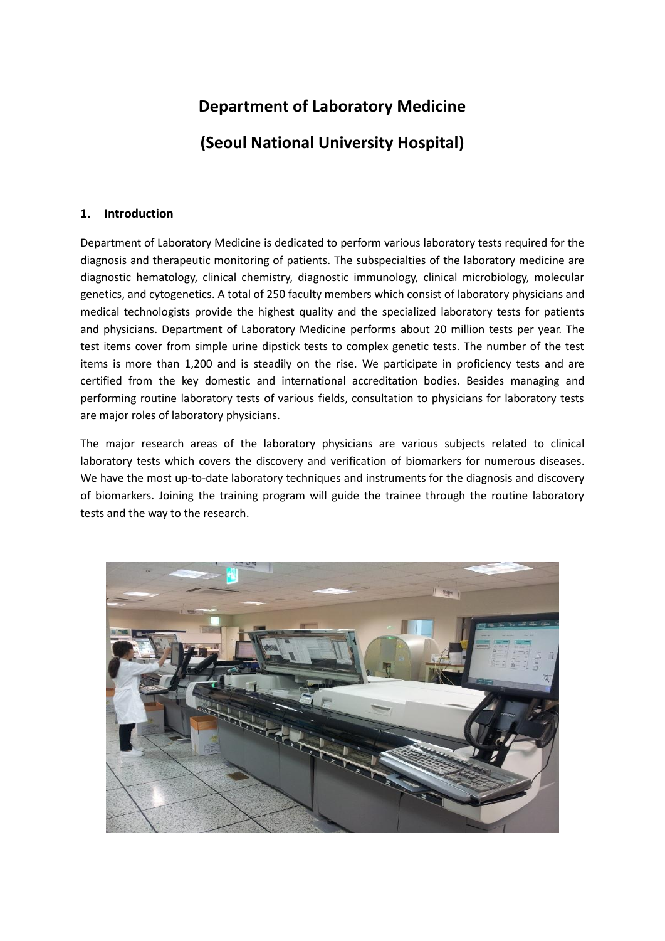# **Department of Laboratory Medicine (Seoul National University Hospital)**

# **1. Introduction**

Department of Laboratory Medicine is dedicated to perform various laboratory tests required for the diagnosis and therapeutic monitoring of patients. The subspecialties of the laboratory medicine are diagnostic hematology, clinical chemistry, diagnostic immunology, clinical microbiology, molecular genetics, and cytogenetics. A total of 250 faculty members which consist of laboratory physicians and medical technologists provide the highest quality and the specialized laboratory tests for patients and physicians. Department of Laboratory Medicine performs about 20 million tests per year. The test items cover from simple urine dipstick tests to complex genetic tests. The number of the test items is more than 1,200 and is steadily on the rise. We participate in proficiency tests and are certified from the key domestic and international accreditation bodies. Besides managing and performing routine laboratory tests of various fields, consultation to physicians for laboratory tests are major roles of laboratory physicians.

The major research areas of the laboratory physicians are various subjects related to clinical laboratory tests which covers the discovery and verification of biomarkers for numerous diseases. We have the most up-to-date laboratory techniques and instruments for the diagnosis and discovery of biomarkers. Joining the training program will guide the trainee through the routine laboratory tests and the way to the research.

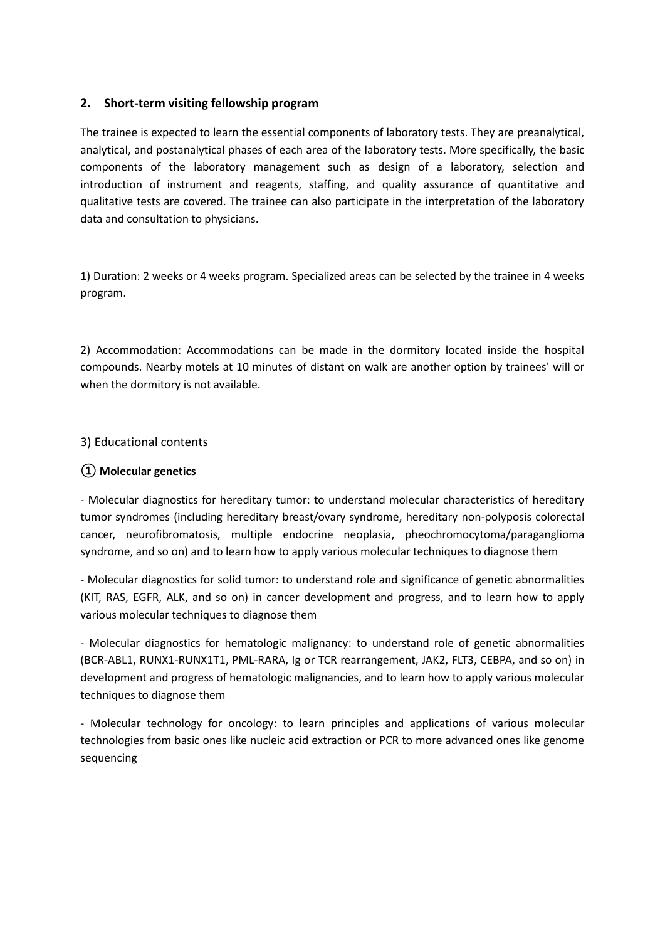# **2. Short-term visiting fellowship program**

The trainee is expected to learn the essential components of laboratory tests. They are preanalytical, analytical, and postanalytical phases of each area of the laboratory tests. More specifically, the basic components of the laboratory management such as design of a laboratory, selection and introduction of instrument and reagents, staffing, and quality assurance of quantitative and qualitative tests are covered. The trainee can also participate in the interpretation of the laboratory data and consultation to physicians.

1) Duration: 2 weeks or 4 weeks program. Specialized areas can be selected by the trainee in 4 weeks program.

2) Accommodation: Accommodations can be made in the dormitory located inside the hospital compounds. Nearby motels at 10 minutes of distant on walk are another option by trainees' will or when the dormitory is not available.

# 3) Educational contents

# **① Molecular genetics**

- Molecular diagnostics for hereditary tumor: to understand molecular characteristics of hereditary tumor syndromes (including hereditary breast/ovary syndrome, hereditary non-polyposis colorectal cancer, neurofibromatosis, multiple endocrine neoplasia, pheochromocytoma/paraganglioma syndrome, and so on) and to learn how to apply various molecular techniques to diagnose them

- Molecular diagnostics for solid tumor: to understand role and significance of genetic abnormalities (KIT, RAS, EGFR, ALK, and so on) in cancer development and progress, and to learn how to apply various molecular techniques to diagnose them

- Molecular diagnostics for hematologic malignancy: to understand role of genetic abnormalities (BCR-ABL1, RUNX1-RUNX1T1, PML-RARA, Ig or TCR rearrangement, JAK2, FLT3, CEBPA, and so on) in development and progress of hematologic malignancies, and to learn how to apply various molecular techniques to diagnose them

- Molecular technology for oncology: to learn principles and applications of various molecular technologies from basic ones like nucleic acid extraction or PCR to more advanced ones like genome sequencing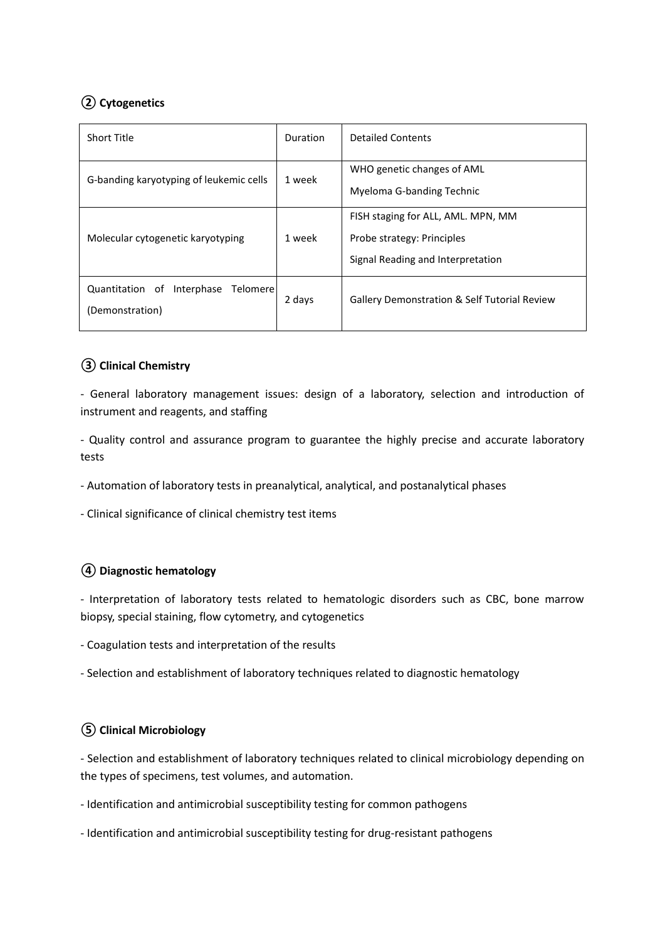# **② Cytogenetics**

| <b>Short Title</b>                                           | <b>Duration</b> | <b>Detailed Contents</b>                                                                              |
|--------------------------------------------------------------|-----------------|-------------------------------------------------------------------------------------------------------|
| G-banding karyotyping of leukemic cells                      | 1 week          | WHO genetic changes of AML<br>Myeloma G-banding Technic                                               |
| Molecular cytogenetic karyotyping                            | 1 week          | FISH staging for ALL, AML. MPN, MM<br>Probe strategy: Principles<br>Signal Reading and Interpretation |
| Interphase<br>Telomere<br>Quantitation of<br>(Demonstration) | 2 days          | <b>Gallery Demonstration &amp; Self Tutorial Review</b>                                               |

# **③ Clinical Chemistry**

- General laboratory management issues: design of a laboratory, selection and introduction of instrument and reagents, and staffing

- Quality control and assurance program to guarantee the highly precise and accurate laboratory tests

- Automation of laboratory tests in preanalytical, analytical, and postanalytical phases

- Clinical significance of clinical chemistry test items

# **④ Diagnostic hematology**

- Interpretation of laboratory tests related to hematologic disorders such as CBC, bone marrow biopsy, special staining, flow cytometry, and cytogenetics

- Coagulation tests and interpretation of the results
- Selection and establishment of laboratory techniques related to diagnostic hematology

# **⑤ Clinical Microbiology**

- Selection and establishment of laboratory techniques related to clinical microbiology depending on the types of specimens, test volumes, and automation.

- Identification and antimicrobial susceptibility testing for common pathogens
- Identification and antimicrobial susceptibility testing for drug-resistant pathogens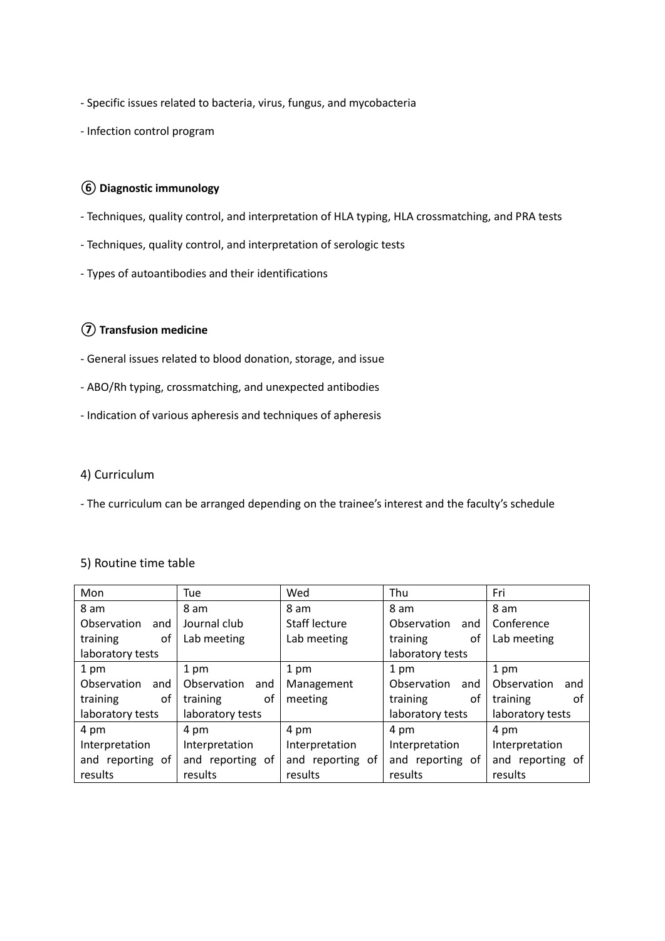- Specific issues related to bacteria, virus, fungus, and mycobacteria

- Infection control program

# **⑥ Diagnostic immunology**

- Techniques, quality control, and interpretation of HLA typing, HLA crossmatching, and PRA tests
- Techniques, quality control, and interpretation of serologic tests
- Types of autoantibodies and their identifications

# **⑦ Transfusion medicine**

- General issues related to blood donation, storage, and issue
- ABO/Rh typing, crossmatching, and unexpected antibodies
- Indication of various apheresis and techniques of apheresis

# 4) Curriculum

- The curriculum can be arranged depending on the trainee's interest and the faculty's schedule

# 5) Routine time table

| Mon                | Tue                | Wed                  | Thu                | Fri                |
|--------------------|--------------------|----------------------|--------------------|--------------------|
| 8 am               | 8 am               | 8 am                 | 8 am               | 8 am               |
| Observation and    | Journal club       | <b>Staff lecture</b> | Observation<br>and | Conference         |
| training<br>of     | Lab meeting        | Lab meeting          | training<br>οf     | Lab meeting        |
| laboratory tests   |                    |                      | laboratory tests   |                    |
| 1 pm               | 1 pm               | 1 pm                 | 1 pm               | 1 pm               |
| Observation<br>and | Observation<br>and | Management           | Observation<br>and | Observation<br>and |
| training<br>οf     | training<br>οf     | meeting              | training<br>οf     | training<br>οf     |
| laboratory tests   | laboratory tests   |                      | laboratory tests   | laboratory tests   |
| 4 pm               | 4 pm               | 4 pm                 | 4 pm               | 4 pm               |
| Interpretation     | Interpretation     | Interpretation       | Interpretation     | Interpretation     |
| and reporting of   | and reporting of   | and reporting of     | and reporting of   | and reporting of   |
| results            | results            | results              | results            | results            |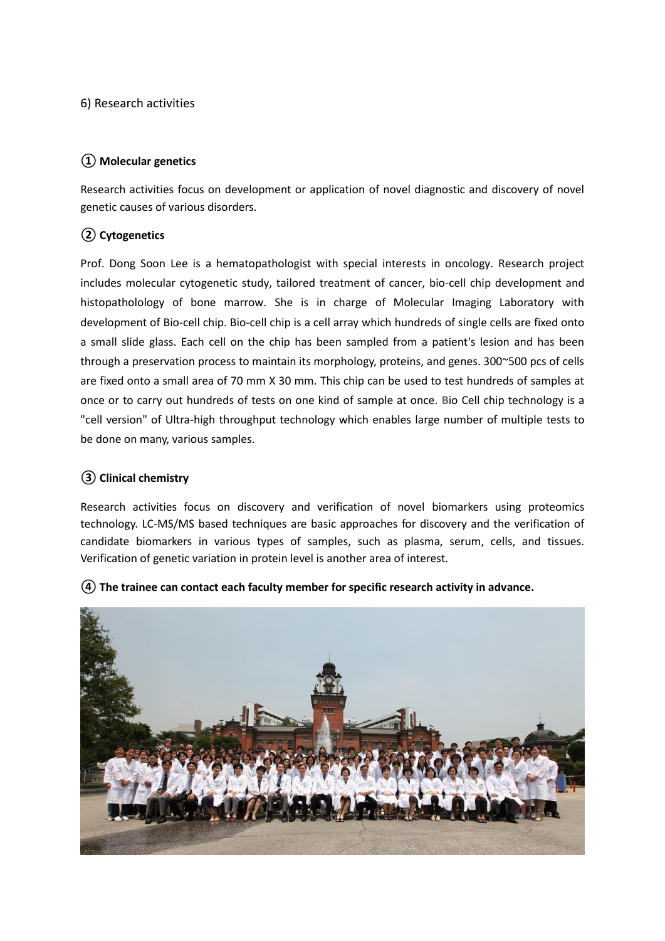6) Research activities

# **① Molecular genetics**

Research activities focus on development or application of novel diagnostic and discovery of novel genetic causes of various disorders.

# **② Cytogenetics**

Prof. Dong Soon Lee is a hematopathologist with special interests in oncology. Research project includes molecular cytogenetic study, tailored treatment of cancer, bio-cell chip development and histopatholology of bone marrow. She is in charge of Molecular Imaging Laboratory with development of Bio-cell chip. Bio-cell chip is a cell array which hundreds of single cells are fixed onto a small slide glass. Each cell on the chip has been sampled from a patient's lesion and has been through a preservation process to maintain its morphology, proteins, and genes. 300~500 pcs of cells are fixed onto a small area of 70 mm X 30 mm. This chip can be used to test hundreds of samples at once or to carry out hundreds of tests on one kind of sample at once. **B**io Cell chip technology is a "cell version" of Ultra-high throughput technology which enables large number of multiple tests to be done on many, various samples.

# **③ Clinical chemistry**

Research activities focus on discovery and verification of novel biomarkers using proteomics technology. LC-MS/MS based techniques are basic approaches for discovery and the verification of candidate biomarkers in various types of samples, such as plasma, serum, cells, and tissues. Verification of genetic variation in protein level is another area of interest.



**④ The trainee can contact each faculty member for specific research activity in advance.**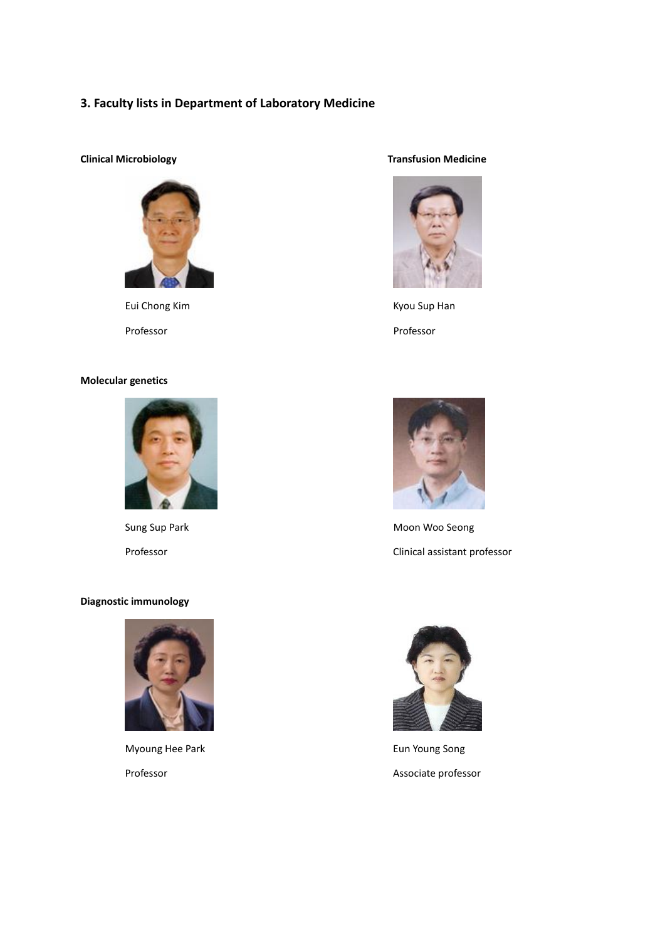#### **3. Faculty lists in Department of Laboratory Medicine**



Eui Chong Kim **Kyou Sup Han** 

#### **Molecular genetics**



#### **Diagnostic immunology**



Myoung Hee Park **Eun Young Song** Eun Young Song

#### **Clinical Microbiology Transfusion Medicine**



Professor Professor



Sung Sup Park Moon Woo Seong Professor **Clinical assistant professor** 



Professor **Associate professor**